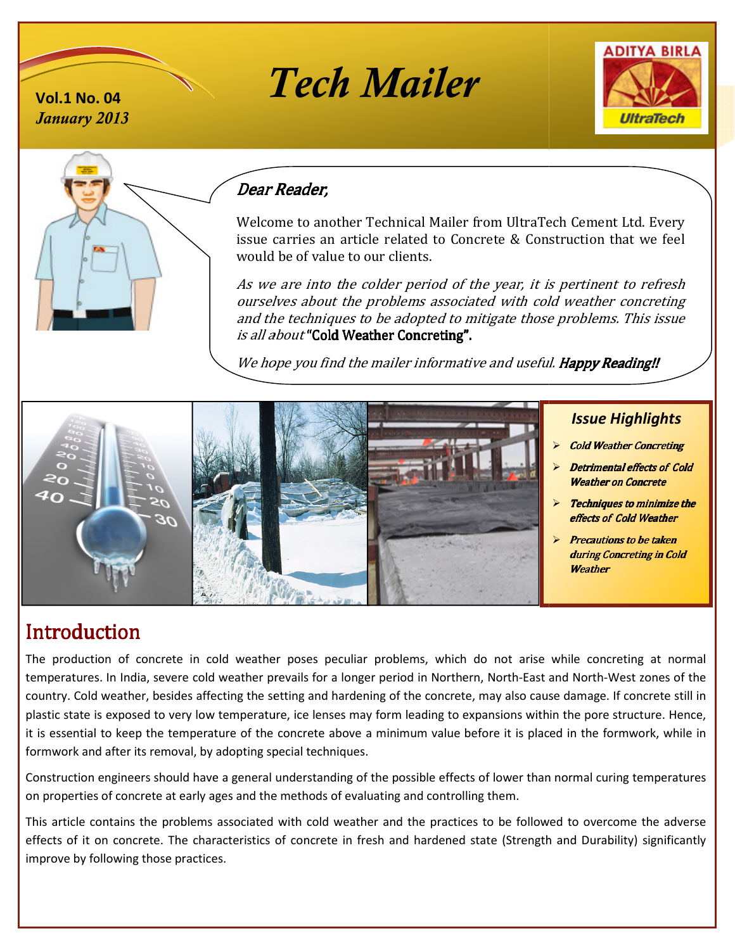# *January 2013*







# Dear Reader, Reader,

Welcome to another Technical Mailer from UltraTech Cement Ltd. Every issue carries a carries an article related to Concrete & Construction that we feel would would be of value to our clients.

As we As are into the colder period of the year, it is ourselves about the problems associated with cold weather concreting and the techniques to be adopted to mitigate those problems problems. This issue is all about "Cold Weather Concreting".

We hope you find the mailer informative and useful. **Happy Reading!!** 



# **Introduction**

The production of concrete in cold weather poses peculiar problems, which do not arise while concreting at normal The production of concrete in cold weather poses peculiar problems, which do not arise while concreting at normal<br>temperatures. In India, severe cold weather prevails for a longer period in Northern, North-East and North-W country. Cold weather, besides affecting the setting and hardening of the concrete, may also cause damage. If concrete still in plastic state is exposed to very low temperature, ice lenses may form leading to expansions within the pore structure. Hence, it is essential to keep the temperature of the concrete above a minimum value before it is placed in the formwork, while in formwork and after its removal, by adopting special techniques pecial techniques.

Construction engineers should have a general understanding of the possible effects of lower than normal curing temperatures on properties of concrete at early ages and the methods of evaluating and controlling them. Construction engineers should have a general understanding of the possible effects of lower than normal curing temperatures<br>on properties of concrete at early ages and the methods of evaluating and controlling them.<br>This a

effects of it on concrete. The characteristics of concrete in fresh and hardened state (Strength and Durability) significantly improve by following those practices.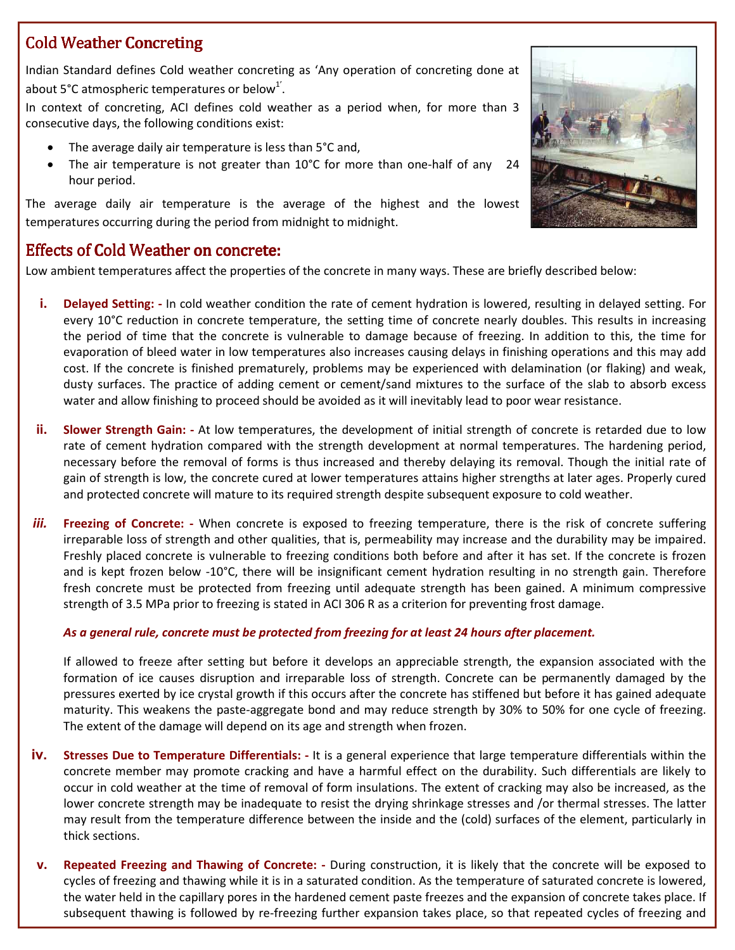# Cold Weather Concreting

Indian Standard defines Cold weather concreting as 'Any operation of concreting done at about 5°C atmospheric temperatures or below<sup>1'</sup>.

In context of concreting, ACI defines cold weather as a period when, for more than 3 consecutive days, the following conditions exist: • The averating and the fines cold weather as a period when, for more than 3<br>
• The average daily air temperature is less than 5°C and,<br>
• The air temperature is not greater than 10°C for more than one-half of any 24

- The average daily air temperature is less than 5°C and,
- hour period.

The average daily air temperature is the average of the highest and the lowest The average daily air temperature is the average of the high<br>temperatures occurring during the period from midnight to midnight.

## Effects of Cold Weather on concrete:

Low ambient temperatures affect the properties of the concrete in many ways. These are briefly described

- i. Delayed Setting: In cold weather condition the rate of cement hydration is lowered, resulting in delayed setting. For every 10°C reduction in concrete temperature, the setting time of concrete nearly doubles. This results in increasing every 10°C reduction in concrete temperature, the setting time of concrete nearly doubles. This results in increasing<br>the period of time that the concrete is vulnerable to damage because of freezing. In addition to this, t the period of time that the concrete is vulnerable to damage because of freezing. In addition to this, the time for<br>evaporation of bleed water in low temperatures also increases causing delays in finishing operations and t cost. If the concrete is finished prematurely, problems may be experienced with delamination (or flaking) and weak,<br>dusty surfaces. The practice of adding cement or cement/sand mixtures to the surface of the slab to absorb dusty surfaces. The practice of adding cement or cement/sand mixtures to the surface of the slab to absorb excess is a sifered the properties of the concrete in many ways. These are briefly described below:<br>In concrete complication the tate of concrete nearly dotation is lowered, reculting in delayed setting c-<br>In concrete temperature
- water and allow finishing to proceed should be avoided as it will inevitably lead to poor wear resistance.<br>Slower Strength Gain: At low temperatures, the development of initial strength of concrete is retar ii. Slower Strength Gain: - At low temperatures, the development of initial strength of concrete is retarded due to low rate of cement hydration compared with the strength development at normal temperatures. The hardening period, rate of cement hydration compared with the strength development at normal temperatures. The hardening period,<br>necessary before the removal of forms is thus increased and thereby delaying its removal. Though the initial rat gain of strength is low, the concrete cured at lower temperatures attains higher strengths at later ages. Properly cured gain of strength is low, the concrete cured at lower temperatures attains higher strengths at later ages. P<br>and protected concrete will mature to its required strength despite subsequent exposure to cold weather.
- *iii.* **Freezing of Concrete:** When concrete is exposed to freezing temperature, there is the risk of concrete suffering irreparable loss of strength and other qualities, that is, permeability may increase and the durabi irreparable loss of strength and other qualities, that is, permeability may increase and the durability may be Freshly placed concrete is vulnerable to freezing conditions both before and after it has set. If the concrete is frozen and is kept frozen below -10°C, there will be insignificant cement hydration resulting in no strength gain. Therefore and is kept frozen below -10°C, there will be insignificant cement hydration resulting in no strength gain. Therefore<br>fresh concrete must be protected from freezing until adequate strength has been gained. A minimum compre strength of 3.5 MPa prior to freezing is stated in ACI 306 R as a criterion for preventing frost damage.

#### *As a general rule, concrete must be protected from freezing for at least 24 hours As a after placement.*

If allowed to freeze after setting but before it develops an appreciable strength, the expansion associated with the formation of ice causes disruption and irreparable loss of strength. Concrete can be permanently damaged by the pressures exerted by ice crystal growth if this occurs after the concrete has stiffened but before it has gained adequate pressures exerted by ice crystal growth if this occurs after the concrete has stiffened but befo<br>maturity. This weakens the paste-aggregate bond and may reduce strength by 30% to 50% The extent of the damage will depend on its age and strength when frozen. e strength, the expansion associated with the<br>oncrete can be permanently damaged by the<br>has stiffened but before it has gained adequate<br>ingth by 30% to 50% for one cycle of freezing.

- **iv.** Stresses Due to Temperature Differentials: It is a general experience that large temperature differentials within the concrete member may promote cracking and have a harmful effect on the durability. Such differentials are likely to occur in cold weather at the time of removal of form insulations. The extent of cracking may also be increased, as the lower concrete strength may be inadequate to resist the drying shrinkage stresses and /or thermal stresses. The latt<br>may result from the temperature difference between the inside and the (cold) surfaces of the element, par may result from the temperature difference between the inside and the (cold) surfaces of the element, particularly in thick sections. of cracking may also be increased, as the<br>esses and /or thermal stresses. The latter
- v. Repeated Freezing and Thawing of Concrete: During construction, it is likely that the concrete will be exposed to cycles of freezing and thawing while it is in a saturated condition. As the temperature of saturated concrete is lowered, the water held in the capillary pores in the hardened cement paste freezes and the expansion of concrete takes place. If subsequent thawing is followed by re-freezing further expansion takes place, so that repeated cycles of freezing and

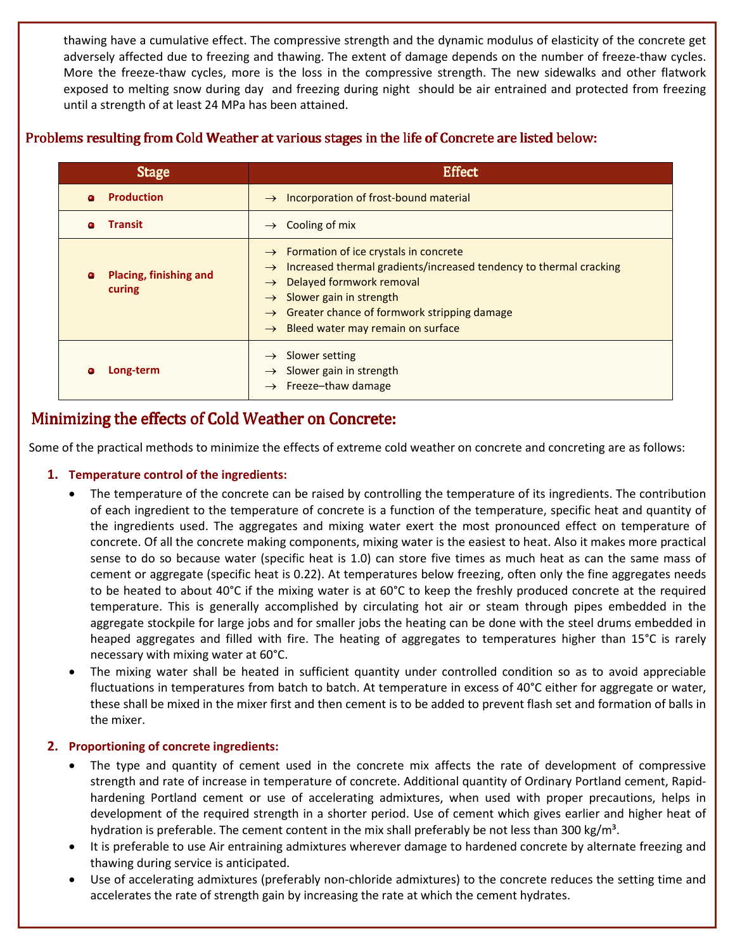thawing have a cumulative effect. The compressive strength and the dynamic modulus of elasticity of the concrete get adversely affected due to freezing and thawing. The extent of damage depends on the number of freeze-thaw cycles. More the freeze-thaw cycles, more is the loss in the compressive strength. The new sidewalks and other flatwork exposed to melting snow during day and freezing during night should be air entrained and protected from freezing until a strength of at least 24 MPa has been attained.

#### Problems resulting from Cold Weather at various stages in the life of Concrete are listed below:

| <b>Stage</b>                          | <b>Effect</b>                                                                                                                                                                                                                                                                                                                                                 |
|---------------------------------------|---------------------------------------------------------------------------------------------------------------------------------------------------------------------------------------------------------------------------------------------------------------------------------------------------------------------------------------------------------------|
| <b>Production</b><br>Δ                | $\rightarrow$ Incorporation of frost-bound material                                                                                                                                                                                                                                                                                                           |
| <b>Transit</b><br>٠                   | Cooling of mix<br>$\rightarrow$                                                                                                                                                                                                                                                                                                                               |
| Placing, finishing and<br>۰<br>curing | $\rightarrow$ Formation of ice crystals in concrete<br>Increased thermal gradients/increased tendency to thermal cracking<br>$\rightarrow$<br>Delayed formwork removal<br>$\rightarrow$<br>Slower gain in strength<br>$\rightarrow$<br><b>Greater chance of formwork stripping damage</b><br>$\rightarrow$<br>$\rightarrow$ Bleed water may remain on surface |
| Long-term<br>c                        | Slower setting<br>$\rightarrow$<br>Slower gain in strength<br>$\rightarrow$<br>$\rightarrow$ Freeze-thaw damage                                                                                                                                                                                                                                               |

# Minimizing the effects of Cold Weather on Concrete:

Some of the practical methods to minimize the effects of extreme cold weather on concrete and concreting are as follows:

#### **1. Temperature control of the ingredients:**

- The temperature of the concrete can be raised by controlling the temperature of its ingredients. The contribution of each ingredient to the temperature of concrete is a function of the temperature, specific heat and quantity of the ingredients used. The aggregates and mixing water exert the most pronounced effect on temperature of concrete. Of all the concrete making components, mixing water is the easiest to heat. Also it makes more practical sense to do so because water (specific heat is 1.0) can store five times as much heat as can the same mass of cement or aggregate (specific heat is 0.22). At temperatures below freezing, often only the fine aggregates needs to be heated to about 40°C if the mixing water is at 60°C to keep the freshly produced concrete at the required temperature. This is generally accomplished by circulating hot air or steam through pipes embedded in the aggregate stockpile for large jobs and for smaller jobs the heating can be done with the steel drums embedded in heaped aggregates and filled with fire. The heating of aggregates to temperatures higher than 15°C is rarely necessary with mixing water at 60°C.
- The mixing water shall be heated in sufficient quantity under controlled condition so as to avoid appreciable fluctuations in temperatures from batch to batch. At temperature in excess of 40°C either for aggregate or water, these shall be mixed in the mixer first and then cement is to be added to prevent flash set and formation of balls in the mixer.

#### **2. Proportioning of concrete ingredients:**

- The type and quantity of cement used in the concrete mix affects the rate of development of compressive strength and rate of increase in temperature of concrete. Additional quantity of Ordinary Portland cement, Rapidhardening Portland cement or use of accelerating admixtures, when used with proper precautions, helps in development of the required strength in a shorter period. Use of cement which gives earlier and higher heat of hydration is preferable. The cement content in the mix shall preferably be not less than 300 kg/m<sup>3</sup>.
- It is preferable to use Air entraining admixtures wherever damage to hardened concrete by alternate freezing and thawing during service is anticipated.
- Use of accelerating admixtures (preferably non-chloride admixtures) to the concrete reduces the setting time and accelerates the rate of strength gain by increasing the rate at which the cement hydrates.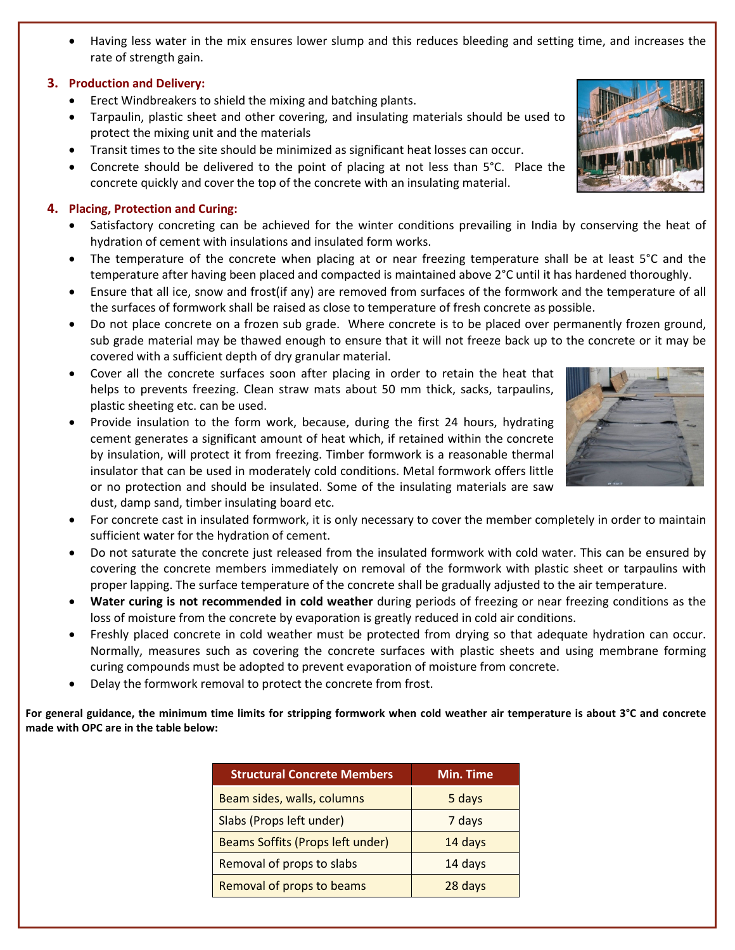• Having less water in the mix ensures lower slump and this reduces bleeding and setting time, and increases the rate of strength gain.

#### **3. Production and Delivery:**

- Erect Windbreakers to shield the mixing and batching plants.
- Erect Windbreakers to shield the mixing and batching plants.<br>• Tarpaulin, plastic sheet and other covering, and insulating materials should be used to protect the mixing unit and the materials
- Transit times to the site should be minimized as significant heat losses can occur.
- Concrete should be delivered to the point of placing at not less than 5°C. Place the concrete quickly and cover the top of the concrete with an insulating material.

#### **4. Placing, Protection and Curing:**

- hydration of cement with insulations and insulated form works.
- Satisfactory concreting can be achieved for the winter conditions prevailing in India by conserving the heat of hydration of cement with insulations and insulated form works.<br>• The temperature of the concrete when placin hydration of cement with insulations and insulated form works.<br>• The temperature of the concrete when placing at or near freezing temperature shall be at least 5°C and the temperature after having been placed and compacted is maintained above 2°C until it has hardened thoroughly.
- temperature after having been placed and compacted is maintained above 2°C until it has hardened thoroughly.<br>Ensure that all ice, snow and frost(if any) are removed from surfaces of the formwork and the temperature of all the surfaces of formwork shall be raised as close to temperature of fresh concrete as possible.
- Do not place concrete on a frozen sub grade. Where concrete is to be placed over permanently frozen ground, sub grade material may be thawed enough to ensure that it will not freeze back up to the concrete or it may be covered with a sufficient depth of dry granular material. place concrete on a frozen sub grade. Where concrete is to be placed over permanently frozen group<br>b grade material may be thawed enough to ensure that it will not freeze back up to the concrete or it may<br>vered with a suff
- Cover all the concrete surfaces soon after placing in order to retain the heat that helps to prevents freezing. Clean straw mats about 50 mm thick, sacks, tarpaulins, plastic sheeting etc. can be used. helps to prevents freezing. Clean straw mats about 50 mm thick, sacks, tarpaulins, plastic sheeting etc. can be used. ● Provide insulation to the form work, because, during the first 24 hours, hydrating
- cement generates a significant amount of heat which, if retained within the concrete by insulation, will protect it from freezing. Timber formwork is a reasonable thermal insulator that can be used in moderately cold conditions. Metal formwork offers little or no protection and should be insulated. Some of the insulating materials are saw dust, damp sand, timber insulating board etc. • Provide insulation to the form work, because, during the first 24 hours, hydrating<br>
cement generates a significant amount of heat which, if retained within the concrete<br>
by insulation, will protect it from freezing. Timb generates a significant amount of heat which, if retained within the concrete<br>ation, will protect it from freezing. Timber formwork is a reasonable thermal<br>r that can be used in moderately cold conditions. Metal formwork o
- sufficient water for the hydration of cement.
- Do not saturate the concrete just released from the insulated formwork with cold water. This can covering the concrete members immediately on removal of the formwork with proper lapping. The surface temperature of the concrete shall be gradually adjusted to the air temperature. **Example 19 covering the concrete members immediately on removal of the formwork with plastic sheet or tarpaulins with proper lapping. The surface temperature of the concrete shall be gradually adjusted to the air tempera** sufficient water for the hydration of cement.<br>Do not saturate the concrete just released from the insulated formwork with cold water. This can be ensured by<br>covering the concrete members immediately on removal of the formw be ensured by
- loss of moisture from the concrete by evaporation is greatly reduced in cold air conditions.
- loss of moisture from the concrete by evaporation is greatly reduced in cold air conditions.<br>• Freshly placed concrete in cold weather must be protected from drying so that adequate hydration can occur. Normally, measures such as covering the concrete surfaces with plastic sheets and using membrane forming<br>curing compounds must be adopted to prevent evaporation of moisture from concrete.<br>Delay the formwork removal to prot curing compounds must be adopted to prevent evaporation of moisture from concrete.
- Delay the formwork removal to protect the concrete from frost.

For general guidance, the minimum time limits for stripping formwork when cold weather air temperature is about 3°C and concrete **made with OPC are in the table below:** 

| <b>Structural Concrete Members</b> | <b>Min. Time</b> |
|------------------------------------|------------------|
| Beam sides, walls, columns         | 5 days           |
| Slabs (Props left under)           | 7 days           |
| Beams Soffits (Props left under)   | 14 days          |
| Removal of props to slabs          | 14 days          |
| Removal of props to beams          | 28 days          |